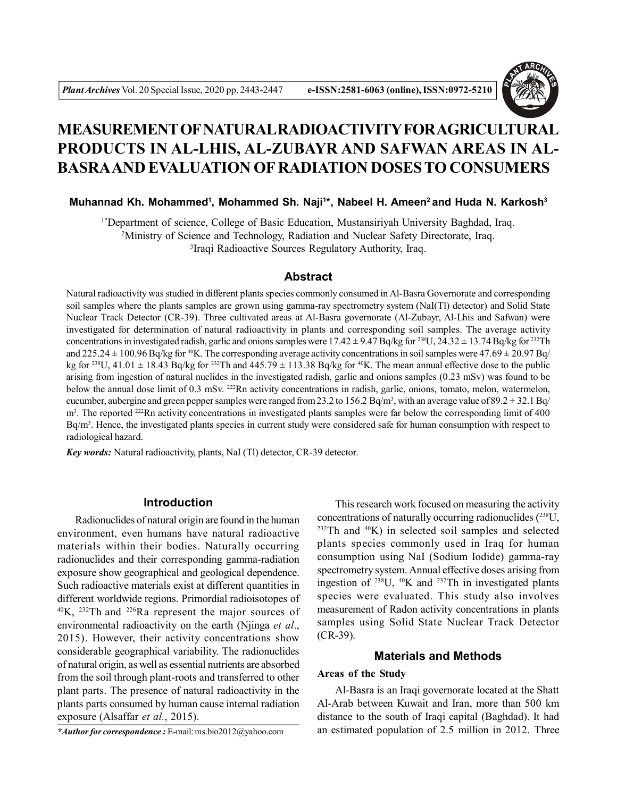

# **MEASUREMENT OF NATURAL RADIOACTIVITY FOR AGRICULTURAL PRODUCTS IN AL-LHIS, AL-ZUBAYR AND SAFWAN AREAS IN AL-BASRAAND EVALUATION OF RADIATION DOSES TO CONSUMERS**

## **Muhannad Kh. Mohammed<sup>1</sup>, Mohammed Sh. Naji<sup>1\*</sup>, Nabeel H. Ameen<sup>2</sup> and Huda N. Karkosh<sup>3</sup>**

<sup>1\*</sup>Department of science, College of Basic Education, Mustansiriyah University Baghdad, Iraq. <sup>2</sup>Ministry of Science and Technology, Radiation and Nuclear Safety Directorate, Iraq. 3 Iraqi Radioactive Sources Regulatory Authority, Iraq.

# **Abstract**

Natural radioactivity was studied in different plants species commonly consumed in Al-Basra Governorate and corresponding soil samples where the plants samples are grown using gamma-ray spectrometry system (NaI(Tl) detector) and Solid State Nuclear Track Detector (CR-39). Three cultivated areas at Al-Basra governorate (Al-Zubayr, Al-Lhis and Safwan) were investigated for determination of natural radioactivity in plants and corresponding soil samples. The average activity concentrations in investigated radish, garlic and onions samples were  $17.42 \pm 9.47$  Bq/kg for <sup>238</sup>U,  $24.32 \pm 13.74$  Bq/kg for <sup>232</sup>Th and 225.24  $\pm$  100.96 Bq/kg for <sup>40</sup>K. The corresponding average activity concentrations in soil samples were 47.69  $\pm$  20.97 Bq/ kg for <sup>238</sup>U, 41.01  $\pm$  18.43 Bq/kg for <sup>232</sup>Th and 445.79  $\pm$  113.38 Bq/kg for <sup>40</sup>K. The mean annual effective dose to the public arising from ingestion of natural nuclides in the investigated radish, garlic and onions samples (0.23 mSv) was found to be below the annual dose limit of 0.3 mSv. <sup>222</sup>Rn activity concentrations in radish, garlic, onions, tomato, melon, watermelon, cucumber, aubergine and green pepper samples were ranged from 23.2 to 156.2 Bq/m<sup>3</sup>, with an average value of 89.2  $\pm$  32.1 Bq/  $m<sup>3</sup>$ . The reported <sup>222</sup>Rn activity concentrations in investigated plants samples were far below the corresponding limit of 400 Bq/m<sup>3</sup> . Hence, the investigated plants species in current study were considered safe for human consumption with respect to radiological hazard.

*Key words:* Natural radioactivity, plants, NaI (Tl) detector, CR-39 detector.

#### **Introduction**

Radionuclides of natural origin are found in the human environment, even humans have natural radioactive materials within their bodies. Naturally occurring radionuclides and their corresponding gamma-radiation exposure show geographical and geological dependence. Such radioactive materials exist at different quantities in different worldwide regions. Primordial radioisotopes of  $^{40}$ K, <sup>232</sup>Th and <sup>226</sup>Ra represent the major sources of environmental radioactivity on the earth (Njinga *et al*., 2015). However, their activity concentrations show considerable geographical variability. The radionuclides of natural origin, as well as essential nutrients are absorbed from the soil through plant-roots and transferred to other plant parts. The presence of natural radioactivity in the plants parts consumed by human cause internal radiation exposure (Alsaffar *et al.*, 2015).

*\*Author for correspondence :* E-mail: ms.bio2012@yahoo.com

This research work focused on measuring the activity concentrations of naturally occurring radionuclides  $(^{238}U,$  $232$ Th and  $40$ K) in selected soil samples and selected plants species commonly used in Iraq for human consumption using NaI (Sodium Iodide) gamma-ray spectrometry system. Annual effective doses arising from ingestion of  $^{238}$ U,  $^{40}$ K and  $^{232}$ Th in investigated plants species were evaluated. This study also involves measurement of Radon activity concentrations in plants samples using Solid State Nuclear Track Detector (CR-39).

## **Materials and Methods**

#### **Areas of the Study**

Al-Basra is an Iraqi governorate located at the Shatt Al-Arab between Kuwait and Iran, more than 500 km distance to the south of Iraqi capital (Baghdad). It had an estimated population of 2.5 million in 2012. Three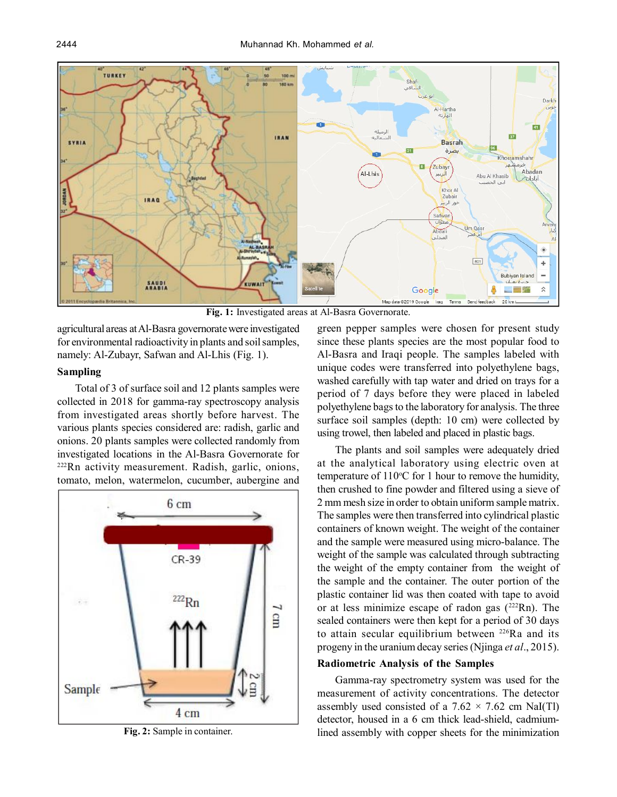

**Fig. 1:** Investigated areas at Al-Basra Governorate.

agricultural areas at Al-Basra governorate were investigated for environmental radioactivity in plants and soil samples, namely: Al-Zubayr, Safwan and Al-Lhis (Fig. 1).

## **Sampling**

Total of 3 of surface soil and 12 plants samples were collected in 2018 for gamma-ray spectroscopy analysis from investigated areas shortly before harvest. The various plants species considered are: radish, garlic and onions. 20 plants samples were collected randomly from investigated locations in the Al-Basra Governorate for <sup>222</sup>Rn activity measurement. Radish, garlic, onions, tomato, melon, watermelon, cucumber, aubergine and



**Fig. 2:** Sample in container.

green pepper samples were chosen for present study since these plants species are the most popular food to Al-Basra and Iraqi people. The samples labeled with unique codes were transferred into polyethylene bags, washed carefully with tap water and dried on trays for a period of 7 days before they were placed in labeled polyethylene bags to the laboratory for analysis. The three surface soil samples (depth: 10 cm) were collected by using trowel, then labeled and placed in plastic bags.

The plants and soil samples were adequately dried at the analytical laboratory using electric oven at temperature of  $110^{\circ}$ C for 1 hour to remove the humidity, then crushed to fine powder and filtered using a sieve of 2 mm mesh size in order to obtain uniform sample matrix. The samples were then transferred into cylindrical plastic containers of known weight. The weight of the container and the sample were measured using micro-balance. The weight of the sample was calculated through subtracting the weight of the empty container from the weight of the sample and the container. The outer portion of the plastic container lid was then coated with tape to avoid or at less minimize escape of radon gas  $(^{222}Rn)$ . The sealed containers were then kept for a period of 30 days to attain secular equilibrium between <sup>226</sup>Ra and its progeny in the uranium decay series (Njinga *et al*., 2015).

#### **Radiometric Analysis of the Samples**

Gamma-ray spectrometry system was used for the measurement of activity concentrations. The detector assembly used consisted of a  $7.62 \times 7.62$  cm NaI(Tl) detector, housed in a 6 cm thick lead-shield, cadmiumlined assembly with copper sheets for the minimization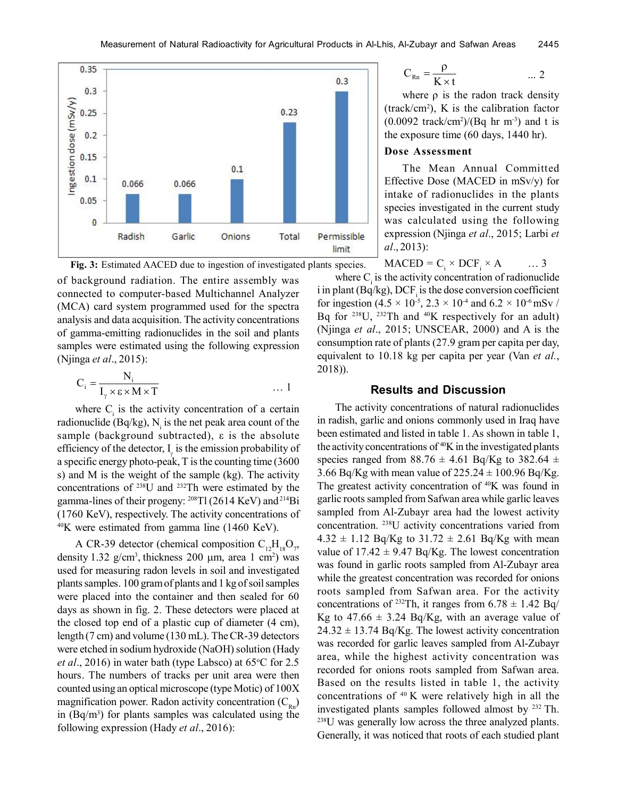



of background radiation. The entire assembly was connected to computer-based Multichannel Analyzer (MCA) card system programmed used for the spectra analysis and data acquisition. The activity concentrations of gamma-emitting radionuclides in the soil and plants samples were estimated using the following expression (Njinga *et al*., 2015):

$$
C_i = \frac{N_i}{I_{\gamma} \times \varepsilon \times M \times T} \qquad \qquad \dots 1
$$

where  $C_i$  is the activity concentration of a certain radionuclide (Bq/kg),  $N_i$  is the net peak area count of the sample (background subtracted), ε is the absolute efficiency of the detector,  $I_{\gamma}$  is the emission probability of a specific energy photo-peak, T is the counting time (3600 s) and M is the weight of the sample (kg). The activity concentrations of <sup>238</sup>U and <sup>232</sup>Th were estimated by the gamma-lines of their progeny:  $^{208}$ Tl (2614 KeV) and  $^{214}$ Bi (1760 KeV), respectively. The activity concentrations of  $^{40}$ K were estimated from gamma line (1460 KeV).

A CR-39 detector (chemical composition  $C_{12}H_{18}O_7$ , density 1.32  $g/cm^3$ , thickness 200  $\mu$ m, area 1 cm<sup>2</sup>) was used for measuring radon levels in soil and investigated plants samples. 100 gram of plants and 1 kg of soil samples were placed into the container and then sealed for 60 days as shown in fig. 2. These detectors were placed at the closed top end of a plastic cup of diameter (4 cm), length (7 cm) and volume (130 mL). The CR-39 detectors were etched in sodium hydroxide (NaOH) solution (Hady *et al.*, 2016) in water bath (type Labsco) at  $65^{\circ}$ C for 2.5 hours. The numbers of tracks per unit area were then counted using an optical microscope (type Motic) of 100X magnification power. Radon activity concentration  $(C_{Rn})$ in  $(Bq/m<sup>3</sup>)$  for plants samples was calculated using the following expression (Hady *et al*., 2016):

$$
C_{\text{Rn}} = \frac{\rho}{K \times t} \qquad \qquad \dots 2
$$

where  $\rho$  is the radon track density  $(\text{track/cm}^2)$ , K is the calibration factor  $(0.0092$  track/cm<sup>2</sup>)/(Bq hr m<sup>-3</sup>) and t is the exposure time (60 days, 1440 hr).

#### **Dose Assessment**

The Mean Annual Committed Effective Dose (MACED in mSv/y) for intake of radionuclides in the plants species investigated in the current study was calculated using the following expression (Njinga *et al*., 2015; Larbi *et al*., 2013):

$$
MACED = C_i \times DCF_i \times A \qquad \dots 3
$$

where  $C_i$  is the activity concentration of radionuclide i in plant (Bq/kg),  $\text{DCF}_i$  is the dose conversion coefficient for ingestion (4.5  $\times$  10<sup>-5</sup>, 2.3  $\times$  10<sup>-4</sup> and 6.2  $\times$  10<sup>-6</sup> mSv / Bq for  $238$ U,  $232$ Th and  $40K$  respectively for an adult) (Njinga *et al*., 2015; UNSCEAR, 2000) and A is the consumption rate of plants (27.9 gram per capita per day, equivalent to 10.18 kg per capita per year (Van *et al.*, 2018)).

#### **Results and Discussion**

The activity concentrations of natural radionuclides in radish, garlic and onions commonly used in Iraq have been estimated and listed in table 1. As shown in table 1, the activity concentrations of  $40K$  in the investigated plants species ranged from  $88.76 \pm 4.61$  Bq/Kg to  $382.64 \pm 1.61$ 3.66 Bq/Kg with mean value of  $225.24 \pm 100.96$  Bq/Kg. The greatest activity concentration of <sup>40</sup>K was found in garlic roots sampled from Safwan area while garlic leaves sampled from Al-Zubayr area had the lowest activity concentration. <sup>238</sup>U activity concentrations varied from  $4.32 \pm 1.12$  Bq/Kg to  $31.72 \pm 2.61$  Bq/Kg with mean value of  $17.42 \pm 9.47$  Bq/Kg. The lowest concentration was found in garlic roots sampled from Al-Zubayr area while the greatest concentration was recorded for onions roots sampled from Safwan area. For the activity concentrations of <sup>232</sup>Th, it ranges from  $6.78 \pm 1.42$  Bq/ Kg to  $47.66 \pm 3.24$  Bq/Kg, with an average value of  $24.32 \pm 13.74$  Bq/Kg. The lowest activity concentration was recorded for garlic leaves sampled from Al-Zubayr area, while the highest activity concentration was recorded for onions roots sampled from Safwan area. Based on the results listed in table 1, the activity concentrations of  $40$  K were relatively high in all the investigated plants samples followed almost by  $232$  Th. <sup>238</sup>U was generally low across the three analyzed plants. Generally, it was noticed that roots of each studied plant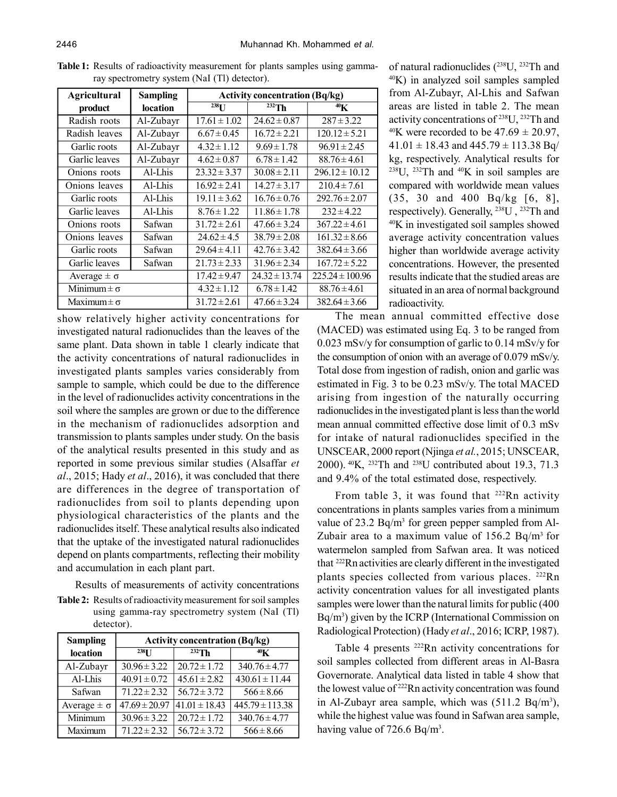| <b>Agricultural</b>  | <b>Sampling</b> | <b>Activity concentration (Bq/kg)</b> |                   |                     |
|----------------------|-----------------|---------------------------------------|-------------------|---------------------|
| product              | <b>location</b> | $^{238}$ U                            | $232$ Th          | 40 <sub>K</sub>     |
| Radish roots         | Al-Zubayr       | $17.61 \pm 1.02$                      | $24.62 \pm 0.87$  | $287 \pm 3.22$      |
| Radish leaves        | Al-Zubayr       | $6.67 \pm 0.45$                       | $16.72 \pm 2.21$  | $120.12 \pm 5.21$   |
| Garlic roots         | Al-Zubayr       | $4.32 \pm 1.12$                       | $9.69 \pm 1.78$   | $96.91 \pm 2.45$    |
| Garlic leaves        | Al-Zubayr       | $4.62 \pm 0.87$                       | $6.78 \pm 1.42$   | $88.76 \pm 4.61$    |
| Onions roots         | Al-Lhis         | $23.32 \pm 3.37$                      | $30.08 \pm 2.11$  | $296.12 \pm 10.12$  |
| Onions leaves        | Al-Lhis         | $16.92 \pm 2.41$                      | $14.27 \pm 3.17$  | $210.4 \pm 7.61$    |
| Garlic roots         | Al-Lhis         | $19.11 \pm 3.62$                      | $16.76 \pm 0.76$  | $292.76 \pm 2.07$   |
| Garlic leaves        | Al-Lhis         | $8.76 \pm 1.22$                       | $11.86 \pm 1.78$  | $232 \pm 4.22$      |
| Onions roots         | Safwan          | $31.72 \pm 2.61$                      | $47.66 \pm 3.24$  | $367.22 \pm 4.61$   |
| Onions leaves        | Safwan          | $24.62 \pm 4.5$                       | $38.79 \pm 2.08$  | $161.32 \pm 8.66$   |
| Garlic roots         | Safwan          | $29.64 \pm 4.11$                      | $42.76 \pm 3.42$  | $382.64 \pm 3.66$   |
| Garlic leaves        | Safwan          | $21.73 \pm 2.33$                      | $31.96 \pm 2.34$  | $167.72 \pm 5.22$   |
| Average $\pm \sigma$ |                 | $17.42 \pm 9.47$                      | $24.32 \pm 13.74$ | $225.24 \pm 100.96$ |
| Minimum $\pm \sigma$ |                 | $4.32 \pm 1.12$                       | $6.78 \pm 1.42$   | $88.76 \pm 4.61$    |
| Maximum $\pm \sigma$ |                 | $31.72 \pm 2.61$                      | $47.66 \pm 3.24$  | $382.64 \pm 3.66$   |

**Table 1:** Results of radioactivity measurement for plants samples using gammaray spectrometry system (NaI (Tl) detector).

show relatively higher activity concentrations for investigated natural radionuclides than the leaves of the same plant. Data shown in table 1 clearly indicate that the activity concentrations of natural radionuclides in investigated plants samples varies considerably from sample to sample, which could be due to the difference in the level of radionuclides activity concentrations in the soil where the samples are grown or due to the difference in the mechanism of radionuclides adsorption and transmission to plants samples under study. On the basis of the analytical results presented in this study and as reported in some previous similar studies (Alsaffar *et al*., 2015; Hady *et al*., 2016), it was concluded that there are differences in the degree of transportation of radionuclides from soil to plants depending upon physiological characteristics of the plants and the radionuclides itself. These analytical results also indicated that the uptake of the investigated natural radionuclides depend on plants compartments, reflecting their mobility and accumulation in each plant part.

Results of measurements of activity concentrations **Table 2:** Results of radioactivity measurement for soil samples using gamma-ray spectrometry system (NaI (Tl) detector).

| <b>Sampling</b>      | <b>Activity concentration (Bq/kg)</b> |                   |                     |
|----------------------|---------------------------------------|-------------------|---------------------|
| location             | $238$ <sup>T</sup>                    | $232$ Th          | 40 <sub>K</sub>     |
| Al-Zubayr            | $30.96 \pm 3.22$                      | $20.72 \pm 1.72$  | $340.76 \pm 4.77$   |
| Al-Lhis              | $40.91 \pm 0.72$                      | $45.61 \pm 2.82$  | $430.61 \pm 11.44$  |
| Safwan               | $71.22 \pm 2.32$                      | $56.72 \pm 3.72$  | $566 \pm 8.66$      |
| Average $\pm \sigma$ | $47.69 \pm 20.97$                     | $41.01 \pm 18.43$ | $445.79 \pm 113.38$ |
| Minimum              | $30.96 \pm 3.22$                      | $20.72 \pm 1.72$  | $340.76 \pm 4.77$   |
| Maximum              | $71.22 \pm 2.32$                      | $56.72 \pm 3.72$  | $566 \pm 8.66$      |

of natural radionuclides (<sup>238</sup>U, <sup>232</sup>Th and <sup>40</sup>K) in analyzed soil samples sampled from Al-Zubayr, Al-Lhis and Safwan areas are listed in table 2. The mean activity concentrations of <sup>238</sup>U, <sup>232</sup>Th and <sup>40</sup>K were recorded to be  $47.69 \pm 20.97$ ,  $41.01 \pm 18.43$  and  $445.79 \pm 113.38$  Bq/ kg, respectively. Analytical results for  $238$ U,  $232$ Th and  $40$ K in soil samples are compared with worldwide mean values (35, 30 and 400 Bq/kg [6, 8], respectively). Generally, <sup>238</sup>U , <sup>232</sup>Th and <sup>40</sup>K in investigated soil samples showed average activity concentration values higher than worldwide average activity concentrations. However, the presented results indicate that the studied areas are situated in an area of normal background radioactivity.

The mean annual committed effective dose (MACED) was estimated using Eq. 3 to be ranged from 0.023 mSv/y for consumption of garlic to 0.14 mSv/y for the consumption of onion with an average of 0.079 mSv/y. Total dose from ingestion of radish, onion and garlic was estimated in Fig. 3 to be 0.23 mSv/y. The total MACED arising from ingestion of the naturally occurring radionuclides in the investigated plant is less than the world mean annual committed effective dose limit of 0.3 mSv for intake of natural radionuclides specified in the UNSCEAR, 2000 report (Njinga *et al.*, 2015; UNSCEAR, 2000).<sup>40</sup>K, <sup>232</sup>Th and <sup>238</sup>U contributed about 19.3, 71.3 and 9.4% of the total estimated dose, respectively.

From table 3, it was found that  $222Rn$  activity concentrations in plants samples varies from a minimum value of 23.2  $Bq/m<sup>3</sup>$  for green pepper sampled from Al-Zubair area to a maximum value of  $156.2$  Bq/m<sup>3</sup> for watermelon sampled from Safwan area. It was noticed that <sup>222</sup>Rn activities are clearly different in the investigated plants species collected from various places. <sup>222</sup>Rn activity concentration values for all investigated plants samples were lower than the natural limits for public (400 Bq/m<sup>3</sup> ) given by the ICRP (International Commission on Radiological Protection) (Hady *et al*., 2016; ICRP, 1987).

Table 4 presents <sup>222</sup>Rn activity concentrations for soil samples collected from different areas in Al-Basra Governorate. Analytical data listed in table 4 show that the lowest value of <sup>222</sup>Rn activity concentration was found in Al-Zubayr area sample, which was  $(511.2 \text{ Bq/m}^3)$ , while the highest value was found in Safwan area sample, having value of  $726.6 \text{ Bq/m}^3$ .